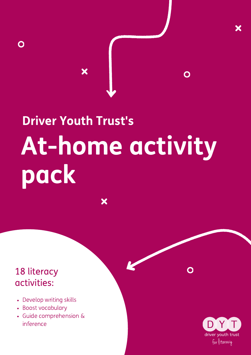# At-home activity pack Driver Youth Trust's

X

 $\overline{\mathbf{x}}$ 

#### 18 literacy activities:

 $\mathbf O$ 

- Develop writing skills
- Boost vocabulary
- Guide comprehension & inference

DY driver youth trust for literacy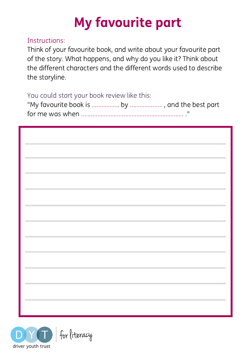# My favourite part

#### Instructions:

Think of your favourite book, and write about your favourite part of the story. What happens, and why do you like it? Think about the different characters and the different words used to describe the storyline.

You could start your book review like this:

|                                | and the control of the control of the control of |  |
|--------------------------------|--------------------------------------------------|--|
| <b>Contract Contract</b>       |                                                  |  |
| <b>Contract Contract</b>       |                                                  |  |
|                                |                                                  |  |
|                                |                                                  |  |
|                                | the control of the control of the control of     |  |
| <b>The Committee Committee</b> |                                                  |  |
|                                |                                                  |  |
|                                |                                                  |  |

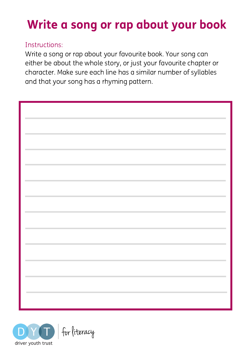# Write a song or rap about your book

#### Instructions:

Write a song or rap about your favourite book. Your song can either be about the whole story, or just your favourite chapter or character. Make sure each line has a similar number of syllables and that your song has a rhyming pattern.

| <b>The Committee Committee Committee</b>                                                                                                                                | ÷.                            |
|-------------------------------------------------------------------------------------------------------------------------------------------------------------------------|-------------------------------|
|                                                                                                                                                                         |                               |
| the control of the control of the<br>and the control of the control of the control of the control of the control of the control of<br>the control of the control of the | and the control of the con-   |
| <b>Contract Contract Contract</b>                                                                                                                                       |                               |
| ,我们也不会有什么。""我们的人,我们也不会有什么?""我们的人,我们也不会有什么?""我们的人,我们也不会有什么?""我们的人,我们也不会有什么?""我们的人<br>the control of the control of                                                       |                               |
| and the control of the control of the control of the control of the control of the control of<br><b>Contract Contract</b>                                               | ۰                             |
| <b>Contract Contract</b>                                                                                                                                                |                               |
| <b>Contract Contract Contract</b>                                                                                                                                       |                               |
| and the control of the control of the control of the control of the control of                                                                                          |                               |
| the control of the control of the control of the control of the control of                                                                                              | the control of the control of |
| <b>Contractor</b>                                                                                                                                                       |                               |
| <b>Contractor</b>                                                                                                                                                       |                               |

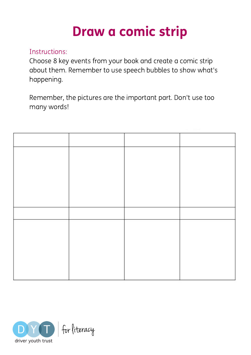# Draw a comic strip

#### Instructions:

Choose 8 key events from your book and create a comic strip about them. Remember to use speech bubbles to show what's happening.

Remember, the pictures are the important part. Don't use too many words!

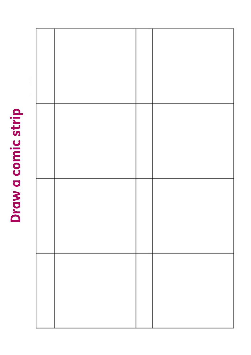# Draw a comic strip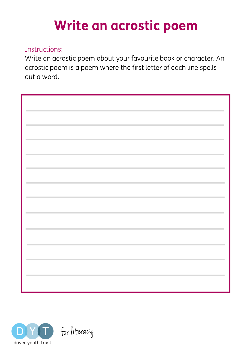# Write an acrostic poem

#### Instructions:

Write an acrostic poem about your favourite book or character. An acrostic poem is a poem where the first letter of each line spells out a word.

| $\sim$                                                                                                                                                                                                                                                    | m,                                                          |
|-----------------------------------------------------------------------------------------------------------------------------------------------------------------------------------------------------------------------------------------------------------|-------------------------------------------------------------|
|                                                                                                                                                                                                                                                           |                                                             |
|                                                                                                                                                                                                                                                           |                                                             |
| <b>Contract Contract Contract</b>                                                                                                                                                                                                                         |                                                             |
|                                                                                                                                                                                                                                                           |                                                             |
|                                                                                                                                                                                                                                                           |                                                             |
| <b>Contract Contract</b>                                                                                                                                                                                                                                  |                                                             |
|                                                                                                                                                                                                                                                           |                                                             |
| the control of the control of the control of the control of the control of the control of the control of the control of the control of the control of the control of the control of the control of the control of the control<br><b>Contract Contract</b> | the control of the control of the control of the control of |
|                                                                                                                                                                                                                                                           |                                                             |
|                                                                                                                                                                                                                                                           |                                                             |
| <b>Contract Contract</b>                                                                                                                                                                                                                                  |                                                             |
|                                                                                                                                                                                                                                                           |                                                             |
|                                                                                                                                                                                                                                                           |                                                             |
| <b>Contract Contract</b>                                                                                                                                                                                                                                  |                                                             |
|                                                                                                                                                                                                                                                           |                                                             |
| <b>Contract Contract</b>                                                                                                                                                                                                                                  | and the control of the control of                           |
|                                                                                                                                                                                                                                                           |                                                             |
|                                                                                                                                                                                                                                                           |                                                             |
| ,我们也不会有什么?""我们的人,我们也不会有什么?""我们的人,我们也不会有什么?""我们的人,我们也不会有什么?""我们的人,我们也不会有什么?""我们的人<br>the control of the control of the control of the control of the control of                                                                                            |                                                             |
|                                                                                                                                                                                                                                                           |                                                             |
|                                                                                                                                                                                                                                                           |                                                             |
| ,我们也不会有什么?""我们的人,我们也不会有什么?""我们的人,我们也不会有什么?""我们的人,我们也不会有什么?""我们的人,我们也不会有什么?""我们的人<br>the control of the control of the                                                                                                                                     |                                                             |
|                                                                                                                                                                                                                                                           |                                                             |
|                                                                                                                                                                                                                                                           |                                                             |
| the control of the control of the                                                                                                                                                                                                                         |                                                             |
|                                                                                                                                                                                                                                                           |                                                             |
|                                                                                                                                                                                                                                                           |                                                             |
| <b>Contract Contract</b>                                                                                                                                                                                                                                  |                                                             |
|                                                                                                                                                                                                                                                           |                                                             |
| <b>Contractor</b>                                                                                                                                                                                                                                         |                                                             |
|                                                                                                                                                                                                                                                           |                                                             |
|                                                                                                                                                                                                                                                           |                                                             |
|                                                                                                                                                                                                                                                           |                                                             |

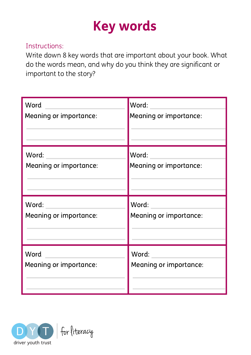# Key words

#### Instructions:

Write down 8 key words that are important about your book. What do the words mean, and why do you think they are significant or important to the story?

| Word                   | Word:                  |
|------------------------|------------------------|
| Meaning or importance: | Meaning or importance: |
| Word:                  | Word:                  |
| Meaning or importance: | Meaning or importance: |
| Word:                  | Word:                  |
| Meaning or importance: | Meaning or importance: |
| Word                   | Word:                  |
| Meaning or importance: | Meaning or importance: |

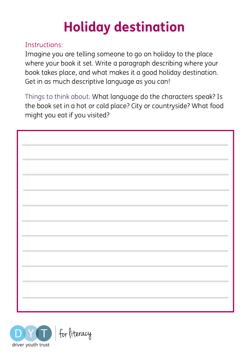# Holiday destination

#### Instructions:

Imagine you are telling someone to go on holiday to the place where your book it set. Write a paragraph describing where your book takes place, and what makes it a good holiday destination. Get in as much descriptive language as you can!

Things to think about: What language do the characters speak? Is the book set in a hot or cold place? City or countryside? What food might you eat if you visited?

| <b>Contract Contract</b>                                                                                         |  |
|------------------------------------------------------------------------------------------------------------------|--|
| and the control of the control of the control of<br>the control of the control of the                            |  |
| and the control of the control of the control of the control of the control of the control of the control of the |  |
|                                                                                                                  |  |
| <b>College</b>                                                                                                   |  |
| and the control of the control of the                                                                            |  |
| <b>Contract Contract</b><br><b>Contract Contract</b>                                                             |  |
| <b>Contract Contract Contract</b>                                                                                |  |
| the control of the control of the control of the control of the control of the control of                        |  |
| <b>Contract</b>                                                                                                  |  |
|                                                                                                                  |  |
|                                                                                                                  |  |

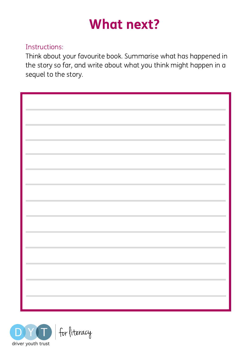# What next?

#### Instructions:

Think about your favourite book. Summarise what has happened in the story so far, and write about what you think might happen in a sequel to the story.

| <b>Contract Contract</b>                                                                                                        |  |
|---------------------------------------------------------------------------------------------------------------------------------|--|
|                                                                                                                                 |  |
|                                                                                                                                 |  |
|                                                                                                                                 |  |
| <b>Contract Contract</b>                                                                                                        |  |
|                                                                                                                                 |  |
|                                                                                                                                 |  |
|                                                                                                                                 |  |
| <b>Contract Contract</b>                                                                                                        |  |
|                                                                                                                                 |  |
|                                                                                                                                 |  |
| <b>Contract Contract</b>                                                                                                        |  |
|                                                                                                                                 |  |
|                                                                                                                                 |  |
|                                                                                                                                 |  |
| <b>Contract Contract</b>                                                                                                        |  |
|                                                                                                                                 |  |
|                                                                                                                                 |  |
|                                                                                                                                 |  |
| <b>Contract Contract</b>                                                                                                        |  |
|                                                                                                                                 |  |
|                                                                                                                                 |  |
|                                                                                                                                 |  |
| <b>Contract Contract</b>                                                                                                        |  |
|                                                                                                                                 |  |
|                                                                                                                                 |  |
|                                                                                                                                 |  |
| <b>Contract Contract</b>                                                                                                        |  |
|                                                                                                                                 |  |
|                                                                                                                                 |  |
|                                                                                                                                 |  |
| <b>Contract</b>                                                                                                                 |  |
|                                                                                                                                 |  |
|                                                                                                                                 |  |
|                                                                                                                                 |  |
| <b>Contract Contract</b>                                                                                                        |  |
|                                                                                                                                 |  |
|                                                                                                                                 |  |
|                                                                                                                                 |  |
|                                                                                                                                 |  |
|                                                                                                                                 |  |
|                                                                                                                                 |  |
|                                                                                                                                 |  |
|                                                                                                                                 |  |
|                                                                                                                                 |  |
|                                                                                                                                 |  |
|                                                                                                                                 |  |
|                                                                                                                                 |  |
| <b>Contract Contract</b>                                                                                                        |  |
|                                                                                                                                 |  |
|                                                                                                                                 |  |
|                                                                                                                                 |  |
| $\mathcal{L}^{\text{max}}_{\text{max}}$ and $\mathcal{L}^{\text{max}}_{\text{max}}$ and $\mathcal{L}^{\text{max}}_{\text{max}}$ |  |

![](_page_8_Picture_4.jpeg)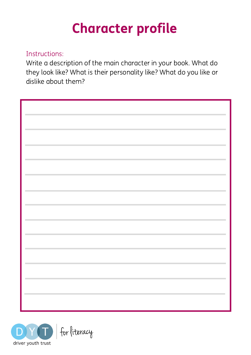# Character profile

#### Instructions:

Write a description of the main character in your book. What do they look like? What is their personality like? What do you like or dislike about them?

| <b>COLLECTION</b>                                                 | m. |
|-------------------------------------------------------------------|----|
|                                                                   |    |
| <b>Contract Contract</b>                                          |    |
|                                                                   |    |
| <b>College</b>                                                    |    |
|                                                                   |    |
| and the control of the control of<br><b>College</b>               |    |
|                                                                   |    |
| <b>Contract</b>                                                   |    |
| and the control of the control of                                 |    |
| <b>Contract Contract Contract</b>                                 |    |
| <b>Contractor</b>                                                 |    |
|                                                                   |    |
| and the control of the control of<br><b>College</b>               |    |
|                                                                   |    |
| <b>College</b>                                                    |    |
|                                                                   |    |
| <b>Contract</b>                                                   |    |
| and the control of the con-<br><b>Contractor</b>                  |    |
|                                                                   |    |
| and the control of the control of the<br><b>Contract Contract</b> |    |
|                                                                   |    |
|                                                                   |    |
|                                                                   |    |
|                                                                   |    |

![](_page_9_Picture_4.jpeg)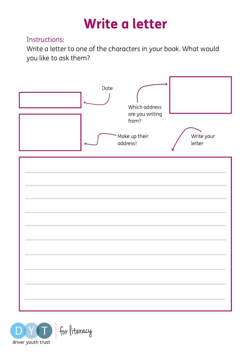# Write a letter

#### Instructions:

Write a letter to one of the characters in your book. What would you like to ask them?

![](_page_10_Figure_3.jpeg)

![](_page_10_Picture_4.jpeg)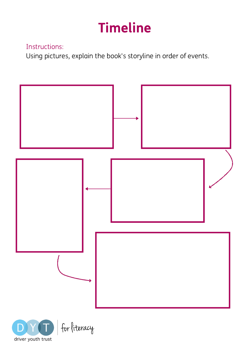# Timeline

#### Instructions:

Using pictures, explain the book's storyline in order of events.

![](_page_11_Figure_3.jpeg)

![](_page_11_Picture_4.jpeg)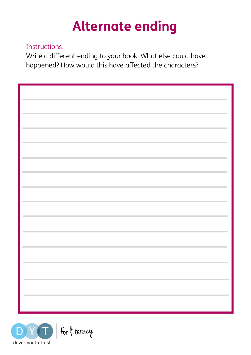# Alternate ending

#### Instructions:

Write a different ending to your book. What else could have happened? How would this have affected the characters?

| $\sim$<br><b>Contract Contract</b><br><b>Contract Contract Contract</b><br>and the control of the control of the control of<br><b>Contract Contract</b><br><b>Contract Contract</b><br>and the control of the control of the control of<br>۰<br>and the control of the control of<br><b>College</b><br>m. |  |
|-----------------------------------------------------------------------------------------------------------------------------------------------------------------------------------------------------------------------------------------------------------------------------------------------------------|--|
|                                                                                                                                                                                                                                                                                                           |  |
|                                                                                                                                                                                                                                                                                                           |  |
|                                                                                                                                                                                                                                                                                                           |  |
|                                                                                                                                                                                                                                                                                                           |  |
|                                                                                                                                                                                                                                                                                                           |  |
|                                                                                                                                                                                                                                                                                                           |  |
|                                                                                                                                                                                                                                                                                                           |  |
|                                                                                                                                                                                                                                                                                                           |  |
|                                                                                                                                                                                                                                                                                                           |  |
|                                                                                                                                                                                                                                                                                                           |  |
|                                                                                                                                                                                                                                                                                                           |  |
|                                                                                                                                                                                                                                                                                                           |  |
|                                                                                                                                                                                                                                                                                                           |  |
|                                                                                                                                                                                                                                                                                                           |  |
|                                                                                                                                                                                                                                                                                                           |  |
|                                                                                                                                                                                                                                                                                                           |  |
|                                                                                                                                                                                                                                                                                                           |  |
|                                                                                                                                                                                                                                                                                                           |  |
|                                                                                                                                                                                                                                                                                                           |  |
|                                                                                                                                                                                                                                                                                                           |  |
|                                                                                                                                                                                                                                                                                                           |  |
|                                                                                                                                                                                                                                                                                                           |  |
|                                                                                                                                                                                                                                                                                                           |  |
|                                                                                                                                                                                                                                                                                                           |  |
|                                                                                                                                                                                                                                                                                                           |  |
|                                                                                                                                                                                                                                                                                                           |  |
|                                                                                                                                                                                                                                                                                                           |  |
|                                                                                                                                                                                                                                                                                                           |  |
|                                                                                                                                                                                                                                                                                                           |  |
|                                                                                                                                                                                                                                                                                                           |  |
|                                                                                                                                                                                                                                                                                                           |  |
|                                                                                                                                                                                                                                                                                                           |  |
|                                                                                                                                                                                                                                                                                                           |  |
|                                                                                                                                                                                                                                                                                                           |  |
|                                                                                                                                                                                                                                                                                                           |  |
|                                                                                                                                                                                                                                                                                                           |  |
|                                                                                                                                                                                                                                                                                                           |  |
|                                                                                                                                                                                                                                                                                                           |  |
|                                                                                                                                                                                                                                                                                                           |  |
|                                                                                                                                                                                                                                                                                                           |  |
|                                                                                                                                                                                                                                                                                                           |  |
|                                                                                                                                                                                                                                                                                                           |  |
|                                                                                                                                                                                                                                                                                                           |  |
|                                                                                                                                                                                                                                                                                                           |  |
|                                                                                                                                                                                                                                                                                                           |  |
|                                                                                                                                                                                                                                                                                                           |  |
|                                                                                                                                                                                                                                                                                                           |  |
|                                                                                                                                                                                                                                                                                                           |  |
|                                                                                                                                                                                                                                                                                                           |  |
|                                                                                                                                                                                                                                                                                                           |  |
|                                                                                                                                                                                                                                                                                                           |  |
|                                                                                                                                                                                                                                                                                                           |  |
|                                                                                                                                                                                                                                                                                                           |  |
|                                                                                                                                                                                                                                                                                                           |  |
|                                                                                                                                                                                                                                                                                                           |  |
|                                                                                                                                                                                                                                                                                                           |  |
|                                                                                                                                                                                                                                                                                                           |  |
|                                                                                                                                                                                                                                                                                                           |  |
|                                                                                                                                                                                                                                                                                                           |  |
|                                                                                                                                                                                                                                                                                                           |  |
|                                                                                                                                                                                                                                                                                                           |  |
|                                                                                                                                                                                                                                                                                                           |  |
|                                                                                                                                                                                                                                                                                                           |  |
|                                                                                                                                                                                                                                                                                                           |  |
|                                                                                                                                                                                                                                                                                                           |  |
|                                                                                                                                                                                                                                                                                                           |  |
|                                                                                                                                                                                                                                                                                                           |  |
|                                                                                                                                                                                                                                                                                                           |  |
|                                                                                                                                                                                                                                                                                                           |  |
|                                                                                                                                                                                                                                                                                                           |  |
|                                                                                                                                                                                                                                                                                                           |  |
|                                                                                                                                                                                                                                                                                                           |  |

![](_page_12_Picture_4.jpeg)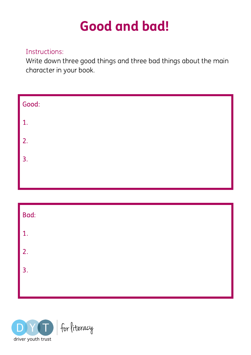# Good and bad!

#### Instructions:

Write down three good things and three bad things about the main character in your book.

| Good: |  |  |
|-------|--|--|
| 1.    |  |  |
| 2.    |  |  |
| 3.    |  |  |
|       |  |  |

| Bad: |  |  |
|------|--|--|
| 1.   |  |  |
| 2.   |  |  |
| 3.   |  |  |
|      |  |  |

![](_page_13_Picture_5.jpeg)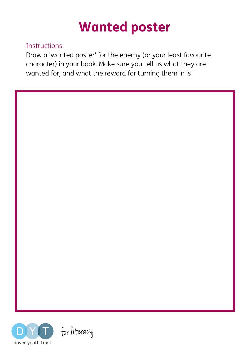![](_page_14_Picture_0.jpeg)

#### Instructions:

Draw a 'wanted poster' for the enemy (or your least favourite character) in your book. Make sure you tell us what they are wanted for, and what the reward for turning them in is!

![](_page_14_Picture_3.jpeg)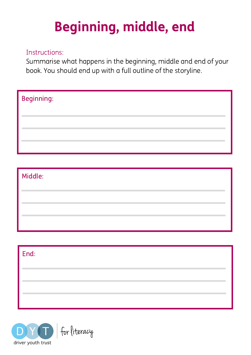# Beginning, middle, end

#### Instructions:

Summarise what happens in the beginning, middle and end of your book. You should end up with a full outline of the storyline.

| <b>Beginning:</b> |  |  |  |
|-------------------|--|--|--|
|                   |  |  |  |
|                   |  |  |  |

# Middle:

| $ $ End: |  |  |  |
|----------|--|--|--|
|          |  |  |  |
|          |  |  |  |
|          |  |  |  |

![](_page_15_Picture_6.jpeg)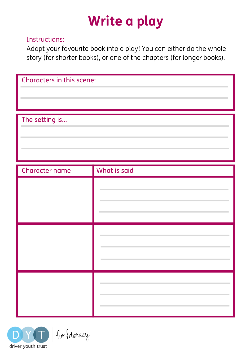# Write a play

#### Instructions:

Adapt your favourite book into a play! You can either do the whole story (for shorter books), or one of the chapters (for longer books).

| Characters in this scene: |  |
|---------------------------|--|
|                           |  |
|                           |  |
| The setting is            |  |
|                           |  |
|                           |  |
|                           |  |

| Character name | What is said |
|----------------|--------------|
|                |              |
|                |              |
|                |              |

![](_page_16_Picture_5.jpeg)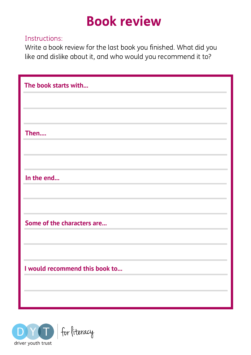# Book review

#### Instructions:

Write a book review for the last book you finished. What did you like and dislike about it, and who would you recommend it to?

| The book starts with           |
|--------------------------------|
|                                |
|                                |
| Then                           |
|                                |
|                                |
| In the end                     |
|                                |
|                                |
| Some of the characters are     |
|                                |
|                                |
| I would recommend this book to |
|                                |
|                                |

![](_page_17_Picture_4.jpeg)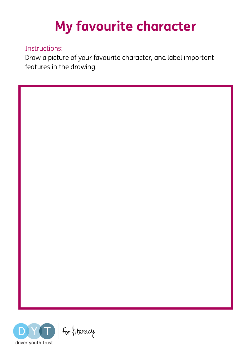# My favourite character

#### Instructions:

Draw a picture of your favourite character, and label important features in the drawing.

![](_page_18_Picture_3.jpeg)